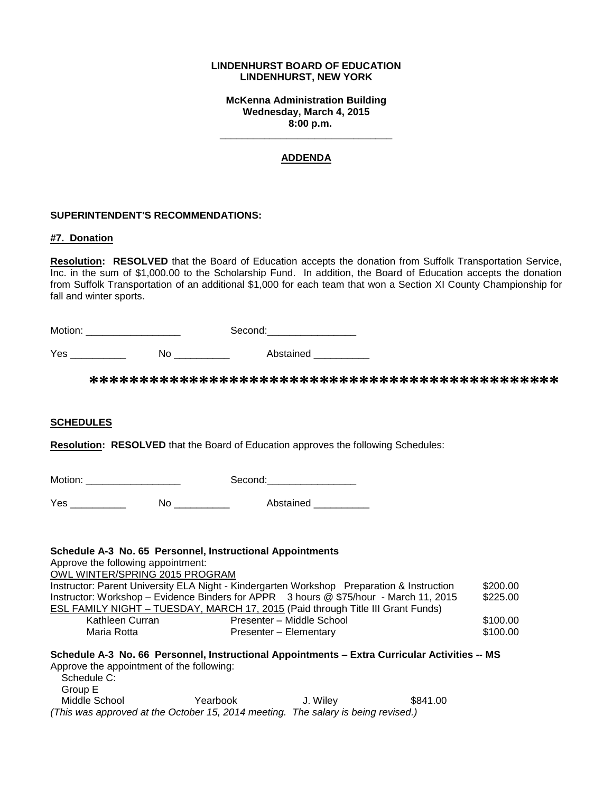#### **LINDENHURST BOARD OF EDUCATION LINDENHURST, NEW YORK**

**McKenna Administration Building Wednesday, March 4, 2015 8:00 p.m.**

**\_\_\_\_\_\_\_\_\_\_\_\_\_\_\_\_\_\_\_\_\_\_\_\_\_\_\_\_\_\_\_**

### **ADDENDA**

#### **SUPERINTENDENT'S RECOMMENDATIONS:**

#### **#7. Donation**

**Resolution: RESOLVED** that the Board of Education accepts the donation from Suffolk Transportation Service, Inc. in the sum of \$1,000.00 to the Scholarship Fund. In addition, the Board of Education accepts the donation from Suffolk Transportation of an additional \$1,000 for each team that won a Section XI County Championship for fall and winter sports.

| Motion: _____________________ |                  | Second:___________________  |                                                                                           |
|-------------------------------|------------------|-----------------------------|-------------------------------------------------------------------------------------------|
|                               | No _____________ | Abstained ___________       |                                                                                           |
|                               |                  |                             |                                                                                           |
| <b>SCHEDULES</b>              |                  |                             |                                                                                           |
|                               |                  |                             | <b>Resolution: RESOLVED</b> that the Board of Education approves the following Schedules: |
| Motion: _____________________ |                  | Second:____________________ |                                                                                           |
|                               |                  |                             |                                                                                           |
|                               |                  |                             |                                                                                           |

## **Schedule A-3 No. 65 Personnel, Instructional Appointments**

Approve the following appointment:

OWL WINTER/SPRING 2015 PROGRAM

|                 | Instructor: Parent University ELA Night - Kindergarten Workshop Preparation & Instruction | \$200.00 |
|-----------------|-------------------------------------------------------------------------------------------|----------|
|                 | Instructor: Workshop – Evidence Binders for APPR 3 hours @ \$75/hour - March 11, 2015     | \$225.00 |
|                 | <b>ESL FAMILY NIGHT - TUESDAY, MARCH 17, 2015 (Paid through Title III Grant Funds)</b>    |          |
| Kathleen Curran | Presenter – Middle School                                                                 | \$100.00 |
| Maria Rotta     | Presenter - Elementary                                                                    | \$100.00 |

# **Schedule A-3 No. 66 Personnel, Instructional Appointments – Extra Curricular Activities -- MS** Approve the appointment of the following:

| Schedule C:   |                                                                                   |          |          |
|---------------|-----------------------------------------------------------------------------------|----------|----------|
| Group E       |                                                                                   |          |          |
| Middle School | Yearbook                                                                          | J. Wilev | \$841.00 |
|               | (This was approved at the October 15, 2014 meeting. The salary is being revised.) |          |          |